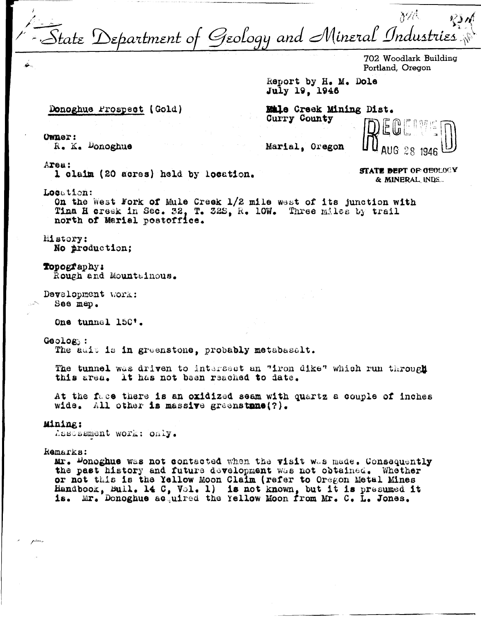tate Department of Geology and Mineral Industries

702 Woodlark Building Portland, Oregon

Report by H. M. Dole July 19, 1946

## Donoghue Prospect (Gold)

Male Creek Mining Dist. Curry County

**STATE DEPT OF GEOLOGY** 

& MINERAL INDS.

**Owner:** R. K. Donoghue

Marial, Oregon

Area:

1 claim (20 acres) held by location.

Location:

On the West Fork of Mule Creek 1/2 mile west of its junction with Tina H creek in Sec. 32, T. 32S. R. 10W. Three miles by trail north of Marial postoffice.

**History:** No production;

Topography: Rough and Mountainous.

Development work: See map.

One tunnel 150'.

Geology:

The adit is in greenstone, probably metabasalt.

The tunnel was driven to intersect an "iron dike" which run through this area. It has not been reached to date.

At the face there is an oxidized seam with quartz a couple of inches wide. All other is massive greenstrue(?).

## Mining:

Assessment work: only.

Remarks:

Mr. Donoghue was not contacted when the visit was made. Consequently the past history and future development was not obtained. Whether or not this is the Yellow Moon Claim (refer to Oregon Metal Mines Handbook, Buil. 14 C, Vol. 1) is not known, but it is presumed it Mr. Donoghue acquired the Yellow Moon from Mr. C. L. Jones.  $1s.$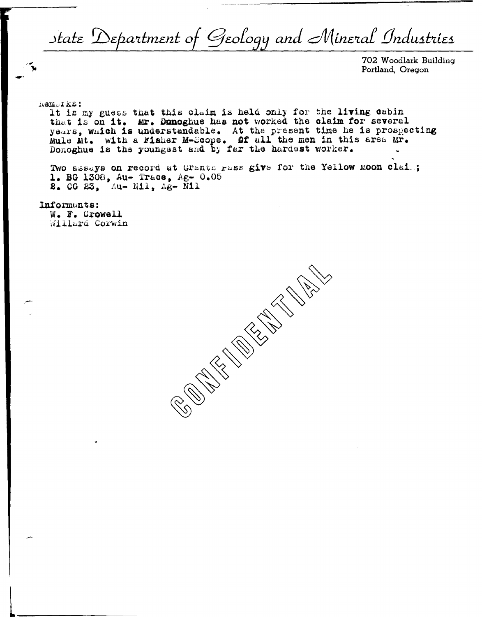State Department of Geology and Mineral Industries

702 Woodlark Building Portland, Oregon

hemolks:

It is my guess that this claim is held only for the living cabin<br>that is on it. Mr. Donoghue has not worked the claim for several<br>years, which is understandable. At the present time he is prospecting<br>Mule Mt. with a Fisher

Two assays on record at Grants rass give for the Yellow moon clais; 1. BG 1308, Au- Trace, Ag- 0.05 2. 00 23, Au- Nil. Ag- Nil

Informants:

W. F. Crowell Willard Corwin

**CONSTRUCTION ROOMS**